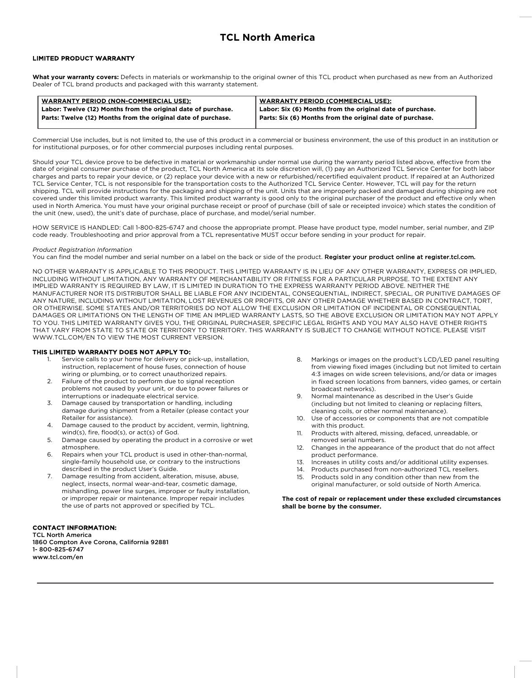### **TCL North America**

### LIMITED PRODUCT WARRANTY

**What your warranty covers:** Defects in materials or workmanship to the original owner of this TCL product when purchased as new from an Authorized Dealer of TCL brand products and packaged with this warranty statement.

| <b>WARRANTY PERIOD (NON-COMMERCIAL USE):</b>                  | <u>' WARRANTY PERIOD (COMMERCIAL USE):</u>                |
|---------------------------------------------------------------|-----------------------------------------------------------|
| Labor: Twelve (12) Months from the original date of purchase. | Labor: Six (6) Months from the original date of purchase. |
| Parts: Twelve (12) Months from the original date of purchase. | Parts: Six (6) Months from the original date of purchase. |

Commercial Use includes, but is not limited to, the use of this product in a commercial or business environment, the use of this product in an institution or for institutional purposes, or for other commercial purposes including rental purposes.

Should your TCL device prove to be defective in material or workmanship under normal use during the warranty period listed above, effective from the date of original consumer purchase of the product, TCL North America at its sole discretion will, (1) pay an Authorized TCL Service Center for both labor charges and parts to repair your device, or (2) replace your device with a new or refurbished/recertified equivalent product. If repaired at an Authorized TCL Service Center, TCL is not responsible for the transportation costs to the Authorized TCL Service Center. However, TCL will pay for the return shipping. TCL will provide instructions for the packaging and shipping of the unit. Units that are improperly packed and damaged during shipping are not covered under this limited product warranty. This limited product warranty is good only to the original purchaser of the product and effective only when used in North America. You must have your original purchase receipt or proof of purchase (bill of sale or receipted invoice) which states the condition of the unit (new, used), the unit's date of purchase, place of purchase, and model/serial number.

HOW SERVICE IS HANDLED: Call 1-800-825-6747 and choose the appropriate prompt. Please have product type, model number, serial number, and ZIP code ready. Troubleshooting and prior approval from a TCL representative MUST occur before sending in your product for repair.

#### *Product Registration Information*

You can find the model number and serial number on a label on the back or side of the product. Register your product online at register.tcl.com.

NO OTHER WARRANTY IS APPLICABLE TO THIS PRODUCT. THIS LIMITED WARRANTY IS IN LIEU OF ANY OTHER WARRANTY, EXPRESS OR IMPLIED, INCLUDING WITHOUT LIMITATION, ANY WARRANTY OF MERCHANTABILITY OR FITNESS FOR A PARTICULAR PURPOSE. TO THE EXTENT ANY IMPLIED WARRANTY IS REQUIRED BY LAW, IT IS LIMITED IN DURATION TO THE EXPRESS WARRANTY PERIOD ABOVE. NEITHER THE MANUFACTURER NOR ITS DISTRIBUTOR SHALL BE LIABLE FOR ANY INCIDENTAL, CONSEQUENTIAL, INDIRECT, SPECIAL, OR PUNITIVE DAMAGES OF ANY NATURE, INCLUDING WITHOUT LIMITATION, LOST REVENUES OR PROFITS, OR ANY OTHER DAMAGE WHETHER BASED IN CONTRACT, TORT, OR OTHERWISE. SOME STATES AND/OR TERRITORIES DO NOT ALLOW THE EXCLUSION OR LIMITATION OF INCIDENTAL OR CONSEQUENTIAL DAMAGES OR LIMITATIONS ON THE LENGTH OF TIME AN IMPLIED WARRANTY LASTS, SO THE ABOVE EXCLUSION OR LIMITATION MAY NOT APPLY TO YOU. THIS LIMITED WARRANTY GIVES YOU, THE ORIGINAL PURCHASER, SPECIFIC LEGAL RIGHTS AND YOU MAY ALSO HAVE OTHER RIGHTS THAT VARY FROM STATE TO STATE OR TERRITORY TO TERRITORY. THIS WARRANTY IS SUBJECT TO CHANGE WITHOUT NOTICE. PLEASE VISIT WWW.TCL.COM/EN TO VIEW THE MOST CURRENT VERSION.

#### THIS LIMITED WARRANTY DOES NOT APPLY TO:

- 1. Service calls to your home for delivery or pick-up, installation, instruction, replacement of house fuses, connection of house wiring or plumbing, or to correct unauthorized repairs.
- 2. Failure of the product to perform due to signal reception problems not caused by your unit, or due to power failures or interruptions or inadequate electrical service.
- 3. Damage caused by transportation or handling, including damage during shipment from a Retailer (please contact your Retailer for assistance).
- 4. Damage caused to the product by accident, vermin, lightning, wind(s), fire, flood(s), or act(s) of God.
- 5. Damage caused by operating the product in a corrosive or wet atmosphere.
- 6. Repairs when your TCL product is used in other-than-normal, single-family household use, or contrary to the instructions described in the product User's Guide.
- 7. Damage resulting from accident, alteration, misuse, abuse, neglect, insects, normal wear-and-tear, cosmetic damage, mishandling, power line surges, improper or faulty installation, or improper repair or maintenance. Improper repair includes the use of parts not approved or specified by TCL.

### CONTACT INFORMATION:

TCL North America 1860 Compton Ave Corona, California 92881 1- 800-825-6747 www.tcl.com/en

- 8. Markings or images on the product's LCD/LED panel resulting from viewing fixed images (including but not limited to certain 4:3 images on wide screen televisions, and/or data or images in fixed screen locations from banners, video games, or certain broadcast networks).
- 9. Normal maintenance as described in the User's Guide (including but not limited to cleaning or replacing filters, cleaning coils, or other normal maintenance).
- 10. Use of accessories or components that are not compatible with this product.
- 11. Products with altered, missing, defaced, unreadable, or removed serial numbers.
- 12. Changes in the appearance of the product that do not affect product performance.
- 13. Increases in utility costs and/or additional utility expenses.
- 14. Products purchased from non-authorized TCL resellers.
- 15. Products sold in any condition other than new from the original manufacturer, or sold outside of North America.

**The cost of repair or replacement under these excluded circumstances shall be borne by the consumer.**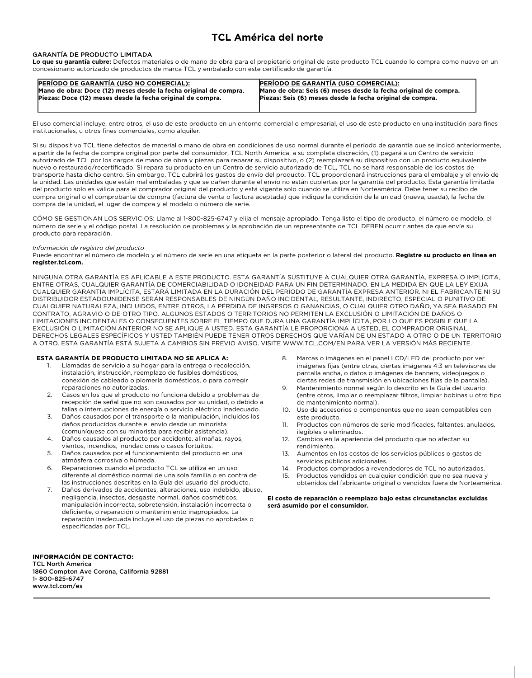## **TCL América del norte**

#### GARANTÍA DE PRODUCTO LIMITADA

**Lo que su garantía cubre:** Defectos materiales o de mano de obra para el propietario original de este producto TCL cuando lo compra como nuevo en un concesionario autorizado de productos de marca TCL y embalado con este certificado de garantía.

| <b>PERÍODO DE GARANTÍA (USO NO COMERCIAL):</b>                   | <b>PERIODO DE GARANTÍA (USO COMERCIAL):</b>                     |
|------------------------------------------------------------------|-----------------------------------------------------------------|
| Mano de obra: Doce (12) meses desde la fecha original de compra. | Mano de obra: Seis (6) meses desde la fecha original de compra. |
| Piezas: Doce (12) meses desde la fecha original de compra.       | Piezas: Seis (6) meses desde la fecha original de compra.       |
|                                                                  |                                                                 |

El uso comercial incluye, entre otros, el uso de este producto en un entorno comercial o empresarial, el uso de este producto en una institución para fines institucionales, u otros fines comerciales, como alquiler.

Si su dispositivo TCL tiene defectos de material o mano de obra en condiciones de uso normal durante el período de garantía que se indicó anteriormente, a partir de la fecha de compra original por parte del consumidor, TCL North America, a su completa discreción, (1) pagará a un Centro de servicio autorizado de TCL por los cargos de mano de obra y piezas para reparar su dispositivo, o (2) reemplazará su dispositivo con un producto equivalente nuevo o restaurado/recertificado. Si repara su producto en un Centro de servicio autorizado de TCL, TCL no se hará responsable de los costos de transporte hasta dicho centro. Sin embargo, TCL cubrirá los gastos de envío del producto. TCL proporcionará instrucciones para el embalaje y el envío de la unidad. Las unidades que están mal embaladas y que se dañen durante el envío no están cubiertas por la garantía del producto. Esta garantía limitada del producto solo es válida para el comprador original del producto y está vigente solo cuando se utiliza en Norteamérica. Debe tener su recibo de compra original o el comprobante de compra (factura de venta o factura aceptada) que indique la condición de la unidad (nueva, usada), la fecha de compra de la unidad, el lugar de compra y el modelo o número de serie.

CÓMO SE GESTIONAN LOS SERVICIOS: Llame al 1-800-825-6747 y elija el mensaje apropiado. Tenga listo el tipo de producto, el número de modelo, el número de serie y el código postal. La resolución de problemas y la aprobación de un representante de TCL DEBEN ocurrir antes de que envíe su producto para reparación.

#### *Información de registro del producto*

Puede encontrar el número de modelo y el número de serie en una etiqueta en la parte posterior o lateral del producto. **Registre su producto en línea en register.tcl.com.**

NINGUNA OTRA GARANTÍA ES APLICABLE A ESTE PRODUCTO. ESTA GARANTÍA SUSTITUYE A CUALQUIER OTRA GARANTÍA, EXPRESA O IMPLÍCITA, ENTRE OTRAS, CUALQUIER GARANTÍA DE COMERCIABILIDAD O IDONEIDAD PARA UN FIN DETERMINADO. EN LA MEDIDA EN QUE LA LEY EXIJA CUALQUIER GARANTÍA IMPLÍCITA, ESTARÁ LIMITADA EN LA DURACIÓN DEL PERÍODO DE GARANTÍA EXPRESA ANTERIOR. NI EL FABRICANTE NI SU DISTRIBUIDOR ESTADOUNIDENSE SERÁN RESPONSABLES DE NINGÚN DAÑO INCIDENTAL, RESULTANTE, INDIRECTO, ESPECIAL O PUNITIVO DE CUALQUIER NATURALEZA, INCLUIDOS, ENTRE OTROS, LA PÉRDIDA DE INGRESOS O GANANCIAS, O CUALQUIER OTRO DAÑO, YA SEA BASADO EN CONTRATO, AGRAVIO O DE OTRO TIPO. ALGUNOS ESTADOS O TERRITORIOS NO PERMITEN LA EXCLUSIÓN O LIMITACIÓN DE DAÑOS O LIMITACIONES INCIDENTALES O CONSECUENTES SOBRE EL TIEMPO QUE DURA UNA GARANTÍA IMPLÍCITA, POR LO QUE ES POSIBLE QUE LA EXCLUSIÓN O LIMITACIÓN ANTERIOR NO SE APLIQUE A USTED. ESTA GARANTÍA LE PROPORCIONA A USTED, EL COMPRADOR ORIGINAL, DERECHOS LEGALES ESPECÍFICOS Y USTED TAMBIÉN PUEDE TENER OTROS DERECHOS QUE VARÍAN DE UN ESTADO A OTRO O DE UN TERRITORIO A OTRO. ESTA GARANTÍA ESTÁ SUJETA A CAMBIOS SIN PREVIO AVISO. VISITE WWW.TCL.COM/EN PARA VER LA VERSIÓN MÁS RECIENTE.

#### **ESTA GARANTÍA DE PRODUCTO LIMITADA NO SE APLICA A:**

- 1. Llamadas de servicio a su hogar para la entrega o recolección, instalación, instrucción, reemplazo de fusibles domésticos, conexión de cableado o plomería domésticos, o para corregir reparaciones no autorizadas.
- 2. Casos en los que el producto no funciona debido a problemas de recepción de señal que no son causados por su unidad, o debido a fallas o interrupciones de energía o servicio eléctrico inadecuado.
- 3. Daños causados por el transporte o la manipulación, incluidos los daños producidos durante el envío desde un minorista (comuníquese con su minorista para recibir asistencia).
- 4. Daños causados al producto por accidente, alimañas, rayos, vientos, incendios, inundaciones o casos fortuitos.
- 5. Daños causados por el funcionamiento del producto en una atmósfera corrosiva o húmeda.
- 6. Reparaciones cuando el producto TCL se utiliza en un uso diferente al doméstico normal de una sola familia o en contra de las instrucciones descritas en la Guía del usuario del producto.
- 7. Daños derivados de accidentes, alteraciones, uso indebido, abuso, negligencia, insectos, desgaste normal, daños cosméticos, manipulación incorrecta, sobretensión, instalación incorrecta o deficiente, o reparación o mantenimiento inapropiados. La reparación inadecuada incluye el uso de piezas no aprobadas o especificadas por TCL.

Marcas o imágenes en el panel LCD/LED del producto por ver imágenes fijas (entre otras, ciertas imágenes 4:3 en televisores de pantalla ancha, o datos o imágenes de banners, videojuegos o ciertas redes de transmisión en ubicaciones fijas de la pantalla).

- 9. Mantenimiento normal según lo descrito en la Guía del usuario (entre otros, limpiar o reemplazar filtros, limpiar bobinas u otro tipo de mantenimiento normal).
- 10. Uso de accesorios o componentes que no sean compatibles con este producto.
- 11. Productos con números de serie modificados, faltantes, anulados, ilegibles o eliminados.
- 12. Cambios en la apariencia del producto que no afectan su rendimiento.
- 13. Aumentos en los costos de los servicios públicos o gastos de servicios públicos adicionales.
- 14. Productos comprados a revendedores de TCL no autorizados.
- 15. Productos vendidos en cualquier condición que no sea nueva y obtenidos del fabricante original o vendidos fuera de Norteamérica.

**El costo de reparación o reemplazo bajo estas circunstancias excluidas será asumido por el consumidor.**

INFORMACIÓN DE CONTACTO: TCL North America 1860 Compton Ave Corona, California 92881 1- 800-825-6747 www.tcl.com/es